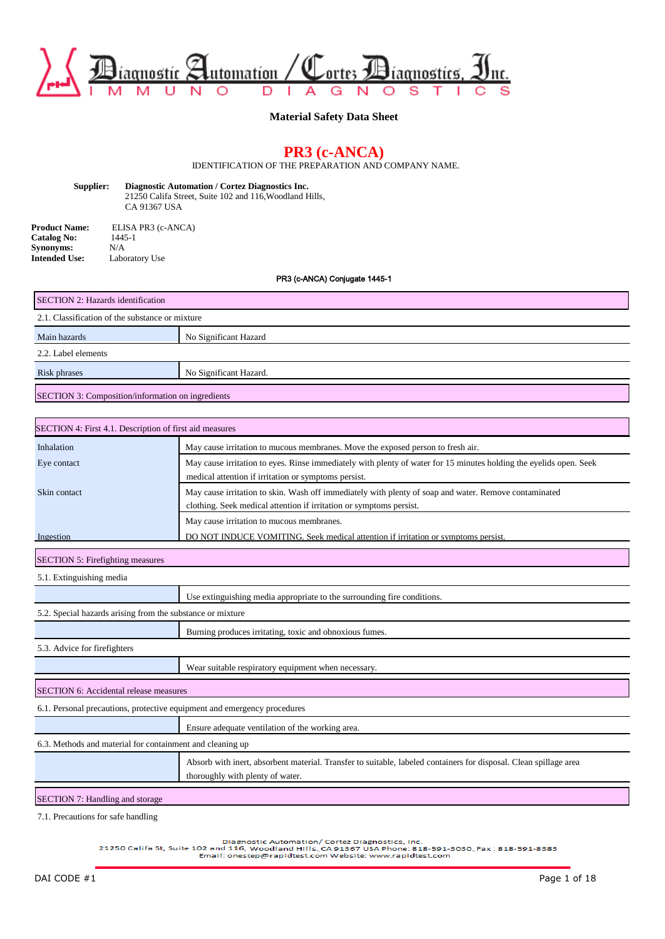

**Material Safety Data Sheet**

# **PR3 (c-ANCA)**

IDENTIFICATION OF THE PREPARATION AND COMPANY NAME.

**Supplier: Diagnostic Automation / Cortez Diagnostics Inc.** 21250 Califa Street, Suite 102 and 116,Woodland Hills, CA 91367 USA

**Product Name:** ELISA PR3 (c-ANCA)<br>**Catalog No:** 1445-1 **Catalog No:** 1445<br>**Synonyms:** N/A **Synonyms:**<br>Intended Use: Laboratory Use

PR3 (c-ANCA) Conjugate 1445-1

|                                                            | ו יט <del>דר</del> ו שואפוויטט <i>(ה</i> טוויטט (גרו                                                               |  |  |  |  |  |
|------------------------------------------------------------|--------------------------------------------------------------------------------------------------------------------|--|--|--|--|--|
| SECTION 2: Hazards identification                          |                                                                                                                    |  |  |  |  |  |
| 2.1. Classification of the substance or mixture            |                                                                                                                    |  |  |  |  |  |
| Main hazards                                               | No Significant Hazard                                                                                              |  |  |  |  |  |
| 2.2. Label elements                                        |                                                                                                                    |  |  |  |  |  |
| No Significant Hazard.<br>Risk phrases                     |                                                                                                                    |  |  |  |  |  |
| SECTION 3: Composition/information on ingredients          |                                                                                                                    |  |  |  |  |  |
|                                                            |                                                                                                                    |  |  |  |  |  |
| SECTION 4: First 4.1. Description of first aid measures    |                                                                                                                    |  |  |  |  |  |
| Inhalation                                                 | May cause irritation to mucous membranes. Move the exposed person to fresh air.                                    |  |  |  |  |  |
| Eye contact                                                | May cause irritation to eyes. Rinse immediately with plenty of water for 15 minutes holding the eyelids open. Seek |  |  |  |  |  |
|                                                            | medical attention if irritation or symptoms persist.                                                               |  |  |  |  |  |
| Skin contact                                               | May cause irritation to skin. Wash off immediately with plenty of soap and water. Remove contaminated              |  |  |  |  |  |
|                                                            | clothing. Seek medical attention if irritation or symptoms persist.                                                |  |  |  |  |  |
|                                                            | May cause irritation to mucous membranes.                                                                          |  |  |  |  |  |
| Ingestion                                                  | DO NOT INDUCE VOMITING. Seek medical attention if irritation or symptoms persist.                                  |  |  |  |  |  |
| <b>SECTION 5: Firefighting measures</b>                    |                                                                                                                    |  |  |  |  |  |
| 5.1. Extinguishing media                                   |                                                                                                                    |  |  |  |  |  |
|                                                            | Use extinguishing media appropriate to the surrounding fire conditions.                                            |  |  |  |  |  |
| 5.2. Special hazards arising from the substance or mixture |                                                                                                                    |  |  |  |  |  |
|                                                            | Burning produces irritating, toxic and obnoxious fumes.                                                            |  |  |  |  |  |
| 5.3. Advice for firefighters                               |                                                                                                                    |  |  |  |  |  |
|                                                            | Wear suitable respiratory equipment when necessary.                                                                |  |  |  |  |  |
|                                                            |                                                                                                                    |  |  |  |  |  |

SECTION 6: Accidental release measures

6.1. Personal precautions, protective equipment and emergency procedures

|                                                           | Ensure adequate ventilation of the working area.                                                                                                      |  |  |  |  |  |
|-----------------------------------------------------------|-------------------------------------------------------------------------------------------------------------------------------------------------------|--|--|--|--|--|
| 6.3. Methods and material for containment and cleaning up |                                                                                                                                                       |  |  |  |  |  |
|                                                           | Absorb with inert, absorbent material. Transfer to suitable, labeled containers for disposal. Clean spillage area<br>thoroughly with plenty of water. |  |  |  |  |  |
|                                                           |                                                                                                                                                       |  |  |  |  |  |

SECTION 7: Handling and storage

7.1. Precautions for safe handling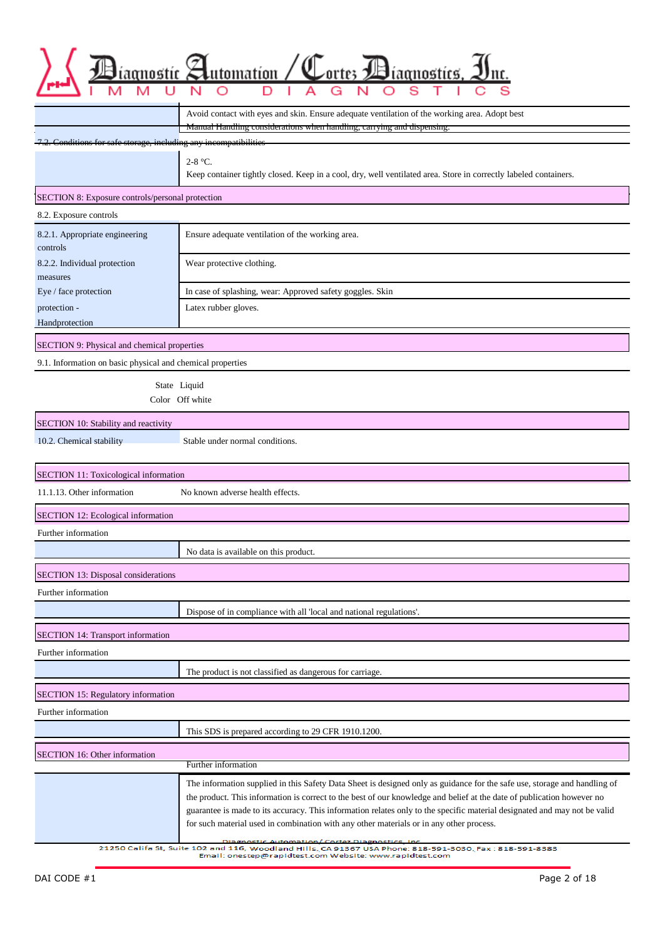|                                                                 | ıtomation<br>mostics                                                                                                                                                                                                                                                                                                                                                                                                                                                                                                                                                                                                                       |
|-----------------------------------------------------------------|--------------------------------------------------------------------------------------------------------------------------------------------------------------------------------------------------------------------------------------------------------------------------------------------------------------------------------------------------------------------------------------------------------------------------------------------------------------------------------------------------------------------------------------------------------------------------------------------------------------------------------------------|
|                                                                 |                                                                                                                                                                                                                                                                                                                                                                                                                                                                                                                                                                                                                                            |
|                                                                 | Avoid contact with eyes and skin. Ensure adequate ventilation of the working area. Adopt best                                                                                                                                                                                                                                                                                                                                                                                                                                                                                                                                              |
|                                                                 | Manual Handling considerations when handling, carrying and dispensing.                                                                                                                                                                                                                                                                                                                                                                                                                                                                                                                                                                     |
| 2. Conditions for safe storage, including any incompatibilities |                                                                                                                                                                                                                                                                                                                                                                                                                                                                                                                                                                                                                                            |
|                                                                 | 2-8 $^{\circ}$ C.<br>Keep container tightly closed. Keep in a cool, dry, well ventilated area. Store in correctly labeled containers.                                                                                                                                                                                                                                                                                                                                                                                                                                                                                                      |
| SECTION 8: Exposure controls/personal protection                |                                                                                                                                                                                                                                                                                                                                                                                                                                                                                                                                                                                                                                            |
| 8.2. Exposure controls                                          |                                                                                                                                                                                                                                                                                                                                                                                                                                                                                                                                                                                                                                            |
| 8.2.1. Appropriate engineering<br>controls                      | Ensure adequate ventilation of the working area.                                                                                                                                                                                                                                                                                                                                                                                                                                                                                                                                                                                           |
| 8.2.2. Individual protection<br>measures                        | Wear protective clothing.                                                                                                                                                                                                                                                                                                                                                                                                                                                                                                                                                                                                                  |
| Eye / face protection                                           | In case of splashing, wear: Approved safety goggles. Skin                                                                                                                                                                                                                                                                                                                                                                                                                                                                                                                                                                                  |
| protection -                                                    | Latex rubber gloves.                                                                                                                                                                                                                                                                                                                                                                                                                                                                                                                                                                                                                       |
| Handprotection                                                  |                                                                                                                                                                                                                                                                                                                                                                                                                                                                                                                                                                                                                                            |
| SECTION 9: Physical and chemical properties                     |                                                                                                                                                                                                                                                                                                                                                                                                                                                                                                                                                                                                                                            |
| 9.1. Information on basic physical and chemical properties      |                                                                                                                                                                                                                                                                                                                                                                                                                                                                                                                                                                                                                                            |
|                                                                 | State Liquid                                                                                                                                                                                                                                                                                                                                                                                                                                                                                                                                                                                                                               |
|                                                                 | Color Off white                                                                                                                                                                                                                                                                                                                                                                                                                                                                                                                                                                                                                            |
| SECTION 10: Stability and reactivity                            |                                                                                                                                                                                                                                                                                                                                                                                                                                                                                                                                                                                                                                            |
| 10.2. Chemical stability                                        | Stable under normal conditions.                                                                                                                                                                                                                                                                                                                                                                                                                                                                                                                                                                                                            |
| SECTION 11: Toxicological information                           |                                                                                                                                                                                                                                                                                                                                                                                                                                                                                                                                                                                                                                            |
| 11.1.13. Other information                                      | No known adverse health effects.                                                                                                                                                                                                                                                                                                                                                                                                                                                                                                                                                                                                           |
| SECTION 12: Ecological information                              |                                                                                                                                                                                                                                                                                                                                                                                                                                                                                                                                                                                                                                            |
| Further information                                             |                                                                                                                                                                                                                                                                                                                                                                                                                                                                                                                                                                                                                                            |
|                                                                 | No data is available on this product.                                                                                                                                                                                                                                                                                                                                                                                                                                                                                                                                                                                                      |
| SECTION 13: Disposal considerations                             |                                                                                                                                                                                                                                                                                                                                                                                                                                                                                                                                                                                                                                            |
| Further information                                             |                                                                                                                                                                                                                                                                                                                                                                                                                                                                                                                                                                                                                                            |
|                                                                 | Dispose of in compliance with all 'local and national regulations'.                                                                                                                                                                                                                                                                                                                                                                                                                                                                                                                                                                        |
| <b>SECTION 14: Transport information</b>                        |                                                                                                                                                                                                                                                                                                                                                                                                                                                                                                                                                                                                                                            |
| Further information                                             |                                                                                                                                                                                                                                                                                                                                                                                                                                                                                                                                                                                                                                            |
|                                                                 | The product is not classified as dangerous for carriage.                                                                                                                                                                                                                                                                                                                                                                                                                                                                                                                                                                                   |
|                                                                 |                                                                                                                                                                                                                                                                                                                                                                                                                                                                                                                                                                                                                                            |
| SECTION 15: Regulatory information<br>Further information       |                                                                                                                                                                                                                                                                                                                                                                                                                                                                                                                                                                                                                                            |
|                                                                 | This SDS is prepared according to 29 CFR 1910.1200.                                                                                                                                                                                                                                                                                                                                                                                                                                                                                                                                                                                        |
|                                                                 |                                                                                                                                                                                                                                                                                                                                                                                                                                                                                                                                                                                                                                            |
| SECTION 16: Other information                                   | Further information                                                                                                                                                                                                                                                                                                                                                                                                                                                                                                                                                                                                                        |
|                                                                 | The information supplied in this Safety Data Sheet is designed only as guidance for the safe use, storage and handling of<br>the product. This information is correct to the best of our knowledge and belief at the date of publication however no<br>guarantee is made to its accuracy. This information relates only to the specific material designated and may not be valid<br>for such material used in combination with any other materials or in any other process.<br><b>Diagnostic Automation/ Cortez Diagnostics</b><br>21250 Califa St, Suite 102 and 116, Woodland Hills, CA 91367 USA Phone: 818-591-3030, Fax: 818-591-8383 |

Email: onestep@rapidtest.com Website: www.rapidtest.com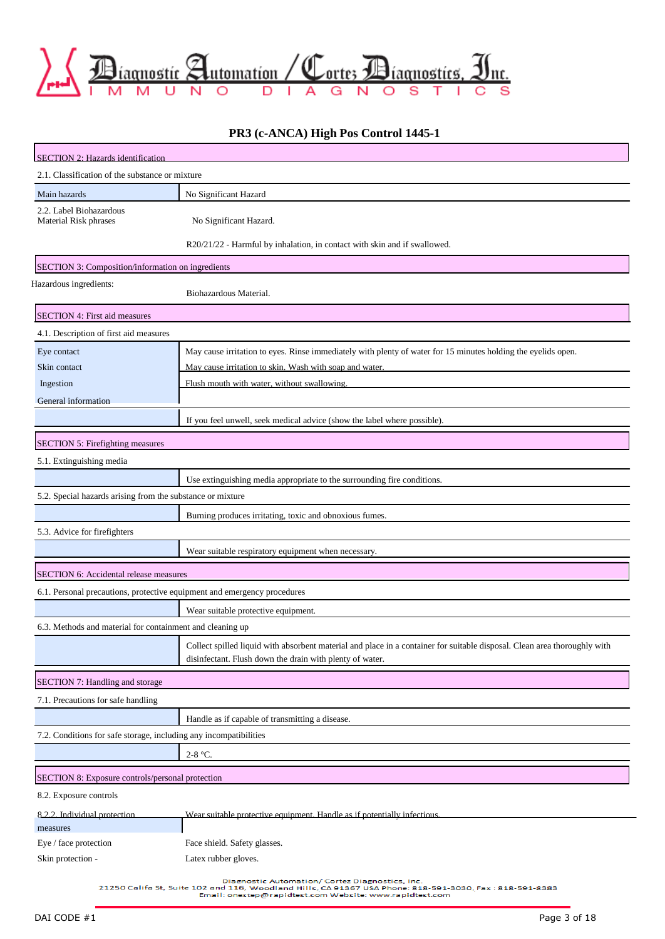

### **PR3 (c-ANCA) High Pos Control 1445-1**

| <b>SECTION 2: Hazards identification</b>                                 |                                                                                                                                                                                       |
|--------------------------------------------------------------------------|---------------------------------------------------------------------------------------------------------------------------------------------------------------------------------------|
| 2.1. Classification of the substance or mixture                          |                                                                                                                                                                                       |
| Main hazards                                                             | No Significant Hazard                                                                                                                                                                 |
| 2.2. Label Biohazardous<br>Material Risk phrases                         | No Significant Hazard.                                                                                                                                                                |
|                                                                          |                                                                                                                                                                                       |
|                                                                          | R20/21/22 - Harmful by inhalation, in contact with skin and if swallowed.                                                                                                             |
| SECTION 3: Composition/information on ingredients                        |                                                                                                                                                                                       |
| Hazardous ingredients:                                                   | Biohazardous Material.                                                                                                                                                                |
| SECTION 4: First aid measures                                            |                                                                                                                                                                                       |
| 4.1. Description of first aid measures                                   |                                                                                                                                                                                       |
| Eye contact                                                              | May cause irritation to eyes. Rinse immediately with plenty of water for 15 minutes holding the eyelids open.                                                                         |
| Skin contact                                                             | May cause irritation to skin. Wash with soap and water.                                                                                                                               |
| Ingestion                                                                | Flush mouth with water, without swallowing.                                                                                                                                           |
| General information                                                      |                                                                                                                                                                                       |
|                                                                          | If you feel unwell, seek medical advice (show the label where possible).                                                                                                              |
| SECTION 5: Firefighting measures                                         |                                                                                                                                                                                       |
| 5.1. Extinguishing media                                                 |                                                                                                                                                                                       |
|                                                                          | Use extinguishing media appropriate to the surrounding fire conditions.                                                                                                               |
| 5.2. Special hazards arising from the substance or mixture               |                                                                                                                                                                                       |
|                                                                          | Burning produces irritating, toxic and obnoxious fumes.                                                                                                                               |
| 5.3. Advice for firefighters                                             |                                                                                                                                                                                       |
|                                                                          | Wear suitable respiratory equipment when necessary.                                                                                                                                   |
| SECTION 6: Accidental release measures                                   |                                                                                                                                                                                       |
| 6.1. Personal precautions, protective equipment and emergency procedures |                                                                                                                                                                                       |
|                                                                          | Wear suitable protective equipment.                                                                                                                                                   |
| 6.3. Methods and material for containment and cleaning up                |                                                                                                                                                                                       |
|                                                                          | Collect spilled liquid with absorbent material and place in a container for suitable disposal. Clean area thoroughly with<br>disinfectant. Flush down the drain with plenty of water. |
| SECTION 7: Handling and storage                                          |                                                                                                                                                                                       |
| 7.1. Precautions for safe handling                                       |                                                                                                                                                                                       |
|                                                                          | Handle as if capable of transmitting a disease.                                                                                                                                       |
| 7.2. Conditions for safe storage, including any incompatibilities        |                                                                                                                                                                                       |
|                                                                          | $2-8$ °C.                                                                                                                                                                             |
| SECTION 8: Exposure controls/personal protection                         |                                                                                                                                                                                       |
| 8.2. Exposure controls                                                   |                                                                                                                                                                                       |
| 8.2.2. Individual protection                                             | Wear suitable protective equipment. Handle as if potentially infectious.                                                                                                              |
| measures                                                                 |                                                                                                                                                                                       |
| Eye / face protection                                                    | Face shield. Safety glasses.                                                                                                                                                          |
| Skin protection -                                                        | Latex rubber gloves.                                                                                                                                                                  |
|                                                                          | Diagnostic Automation/ Cortez Diagnostics, Inc.                                                                                                                                       |

21250 Califa St, Suite 102 and 116, Woodland Hills, CA 91367 USA Phone: 818-591-3030, Fax : 818-591-8383<br>Email: onestep@rapidtest.com Website: www.rapidtest.com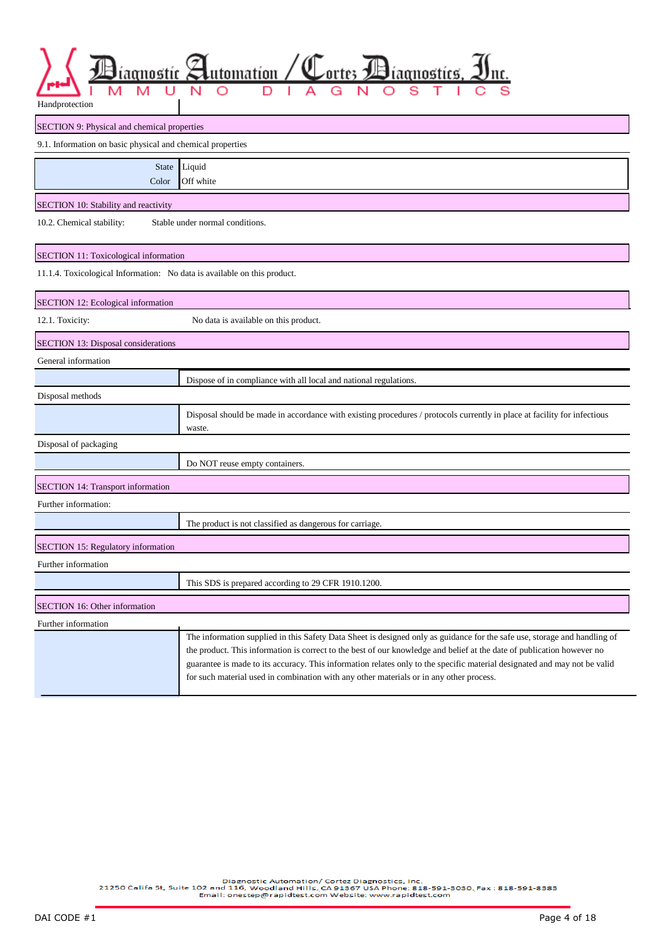| iagnostic ><br>Handprotection                                            | Lutomation /<br>Cortes <i>Diagnostics</i> ,                                                                                                                                                                                                                                                                                                                                                                                                                                 |
|--------------------------------------------------------------------------|-----------------------------------------------------------------------------------------------------------------------------------------------------------------------------------------------------------------------------------------------------------------------------------------------------------------------------------------------------------------------------------------------------------------------------------------------------------------------------|
| SECTION 9: Physical and chemical properties                              |                                                                                                                                                                                                                                                                                                                                                                                                                                                                             |
| 9.1. Information on basic physical and chemical properties               |                                                                                                                                                                                                                                                                                                                                                                                                                                                                             |
| <b>State</b><br>Color                                                    | Liquid<br>Off white                                                                                                                                                                                                                                                                                                                                                                                                                                                         |
| SECTION 10: Stability and reactivity                                     |                                                                                                                                                                                                                                                                                                                                                                                                                                                                             |
| 10.2. Chemical stability:                                                | Stable under normal conditions.                                                                                                                                                                                                                                                                                                                                                                                                                                             |
| SECTION 11: Toxicological information                                    |                                                                                                                                                                                                                                                                                                                                                                                                                                                                             |
| 11.1.4. Toxicological Information: No data is available on this product. |                                                                                                                                                                                                                                                                                                                                                                                                                                                                             |
| SECTION 12: Ecological information                                       |                                                                                                                                                                                                                                                                                                                                                                                                                                                                             |
| 12.1. Toxicity:                                                          | No data is available on this product.                                                                                                                                                                                                                                                                                                                                                                                                                                       |
| SECTION 13: Disposal considerations                                      |                                                                                                                                                                                                                                                                                                                                                                                                                                                                             |
| General information                                                      |                                                                                                                                                                                                                                                                                                                                                                                                                                                                             |
|                                                                          | Dispose of in compliance with all local and national regulations.                                                                                                                                                                                                                                                                                                                                                                                                           |
| Disposal methods                                                         |                                                                                                                                                                                                                                                                                                                                                                                                                                                                             |
|                                                                          | Disposal should be made in accordance with existing procedures / protocols currently in place at facility for infectious<br>waste.                                                                                                                                                                                                                                                                                                                                          |
| Disposal of packaging                                                    |                                                                                                                                                                                                                                                                                                                                                                                                                                                                             |
|                                                                          | Do NOT reuse empty containers.                                                                                                                                                                                                                                                                                                                                                                                                                                              |
| <b>SECTION 14: Transport information</b>                                 |                                                                                                                                                                                                                                                                                                                                                                                                                                                                             |
| Further information:                                                     |                                                                                                                                                                                                                                                                                                                                                                                                                                                                             |
|                                                                          | The product is not classified as dangerous for carriage.                                                                                                                                                                                                                                                                                                                                                                                                                    |
| SECTION 15: Regulatory information                                       |                                                                                                                                                                                                                                                                                                                                                                                                                                                                             |
| Further information                                                      |                                                                                                                                                                                                                                                                                                                                                                                                                                                                             |
|                                                                          | This SDS is prepared according to 29 CFR 1910.1200.                                                                                                                                                                                                                                                                                                                                                                                                                         |
| SECTION 16: Other information                                            |                                                                                                                                                                                                                                                                                                                                                                                                                                                                             |
| Further information                                                      |                                                                                                                                                                                                                                                                                                                                                                                                                                                                             |
|                                                                          | The information supplied in this Safety Data Sheet is designed only as guidance for the safe use, storage and handling of<br>the product. This information is correct to the best of our knowledge and belief at the date of publication however no<br>guarantee is made to its accuracy. This information relates only to the specific material designated and may not be valid<br>for such material used in combination with any other materials or in any other process. |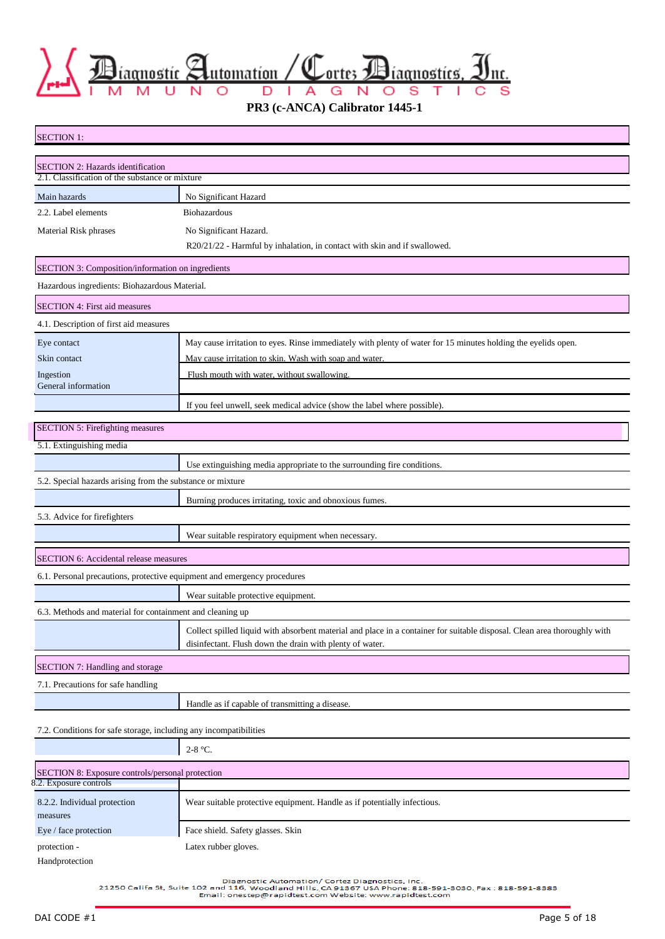$\sum_{\text{r.t.}}\sum_{M \text{ is a positive}}$ 

**PR3 (c-ANCA) Calibrator 1445-1**

| <b>SECTION 1:</b>                                                                    |                                                                                                                           |
|--------------------------------------------------------------------------------------|---------------------------------------------------------------------------------------------------------------------------|
|                                                                                      |                                                                                                                           |
| SECTION 2: Hazards identification<br>2.1. Classification of the substance or mixture |                                                                                                                           |
| Main hazards                                                                         | No Significant Hazard                                                                                                     |
| 2.2. Label elements                                                                  | Biohazardous                                                                                                              |
| Material Risk phrases                                                                | No Significant Hazard.                                                                                                    |
|                                                                                      | R20/21/22 - Harmful by inhalation, in contact with skin and if swallowed.                                                 |
| SECTION 3: Composition/information on ingredients                                    |                                                                                                                           |
| Hazardous ingredients: Biohazardous Material.                                        |                                                                                                                           |
| SECTION 4: First aid measures                                                        |                                                                                                                           |
| 4.1. Description of first aid measures                                               |                                                                                                                           |
| Eye contact                                                                          | May cause irritation to eyes. Rinse immediately with plenty of water for 15 minutes holding the eyelids open.             |
| Skin contact                                                                         | May cause irritation to skin. Wash with soap and water.                                                                   |
| Ingestion<br>General information                                                     | Flush mouth with water, without swallowing.                                                                               |
|                                                                                      | If you feel unwell, seek medical advice (show the label where possible).                                                  |
|                                                                                      |                                                                                                                           |
| <b>SECTION 5: Firefighting measures</b>                                              |                                                                                                                           |
| 5.1. Extinguishing media                                                             |                                                                                                                           |
|                                                                                      | Use extinguishing media appropriate to the surrounding fire conditions.                                                   |
| 5.2. Special hazards arising from the substance or mixture                           |                                                                                                                           |
|                                                                                      | Burning produces irritating, toxic and obnoxious fumes.                                                                   |
| 5.3. Advice for firefighters                                                         |                                                                                                                           |
|                                                                                      | Wear suitable respiratory equipment when necessary.                                                                       |
| SECTION 6: Accidental release measures                                               |                                                                                                                           |
| 6.1. Personal precautions, protective equipment and emergency procedures             |                                                                                                                           |
|                                                                                      | Wear suitable protective equipment.                                                                                       |
| 6.3. Methods and material for containment and cleaning up                            |                                                                                                                           |
|                                                                                      | Collect spilled liquid with absorbent material and place in a container for suitable disposal. Clean area thoroughly with |
|                                                                                      | disinfectant. Flush down the drain with plenty of water.                                                                  |
| SECTION 7: Handling and storage                                                      |                                                                                                                           |
| 7.1. Precautions for safe handling                                                   |                                                                                                                           |
|                                                                                      | Handle as if capable of transmitting a disease.                                                                           |
| 7.2. Conditions for safe storage, including any incompatibilities                    |                                                                                                                           |
|                                                                                      | 2-8 °C.                                                                                                                   |
| SECTION 8: Exposure controls/personal protection                                     |                                                                                                                           |
| 8.2. Exposure controls                                                               |                                                                                                                           |
| 8.2.2. Individual protection<br>measures                                             | Wear suitable protective equipment. Handle as if potentially infectious.                                                  |

Handprotection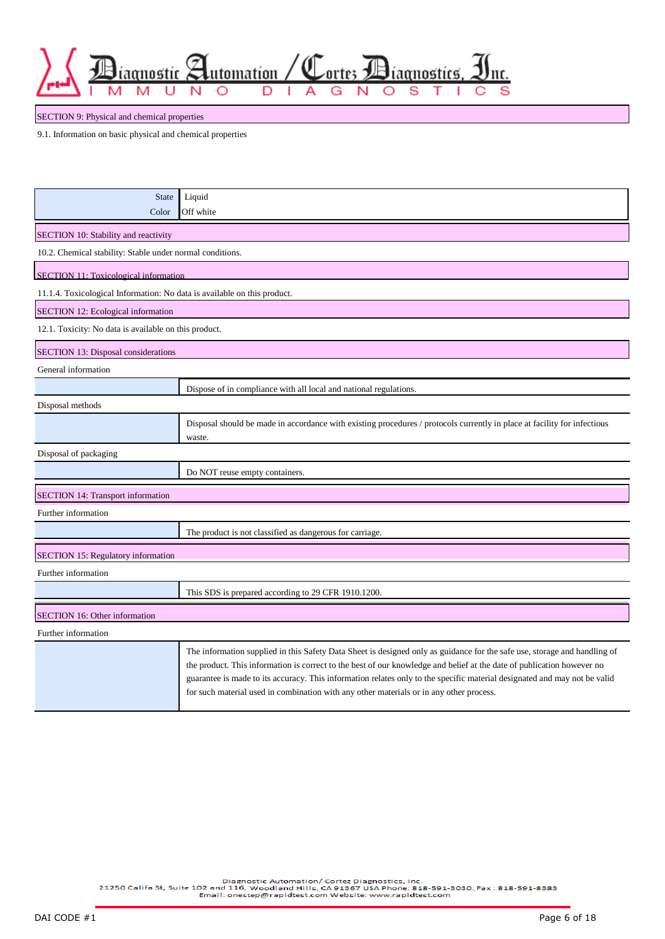utomation / Corte; Biagnostics,

nc.

SECTION 9: Physical and chemical properties

9.1. Information on basic physical and chemical properties

aonostíc

N

| <b>State</b><br>Color                                                    | Liquid<br>Off white                                                                                                                                                                                                                                                                                                                                                                                                                                                         |
|--------------------------------------------------------------------------|-----------------------------------------------------------------------------------------------------------------------------------------------------------------------------------------------------------------------------------------------------------------------------------------------------------------------------------------------------------------------------------------------------------------------------------------------------------------------------|
| SECTION 10: Stability and reactivity                                     |                                                                                                                                                                                                                                                                                                                                                                                                                                                                             |
| 10.2. Chemical stability: Stable under normal conditions.                |                                                                                                                                                                                                                                                                                                                                                                                                                                                                             |
| SECTION 11: Toxicological information                                    |                                                                                                                                                                                                                                                                                                                                                                                                                                                                             |
| 11.1.4. Toxicological Information: No data is available on this product. |                                                                                                                                                                                                                                                                                                                                                                                                                                                                             |
| SECTION 12: Ecological information                                       |                                                                                                                                                                                                                                                                                                                                                                                                                                                                             |
| 12.1. Toxicity: No data is available on this product.                    |                                                                                                                                                                                                                                                                                                                                                                                                                                                                             |
| SECTION 13: Disposal considerations                                      |                                                                                                                                                                                                                                                                                                                                                                                                                                                                             |
| General information                                                      |                                                                                                                                                                                                                                                                                                                                                                                                                                                                             |
|                                                                          | Dispose of in compliance with all local and national regulations.                                                                                                                                                                                                                                                                                                                                                                                                           |
| Disposal methods                                                         |                                                                                                                                                                                                                                                                                                                                                                                                                                                                             |
|                                                                          | Disposal should be made in accordance with existing procedures / protocols currently in place at facility for infectious<br>waste.                                                                                                                                                                                                                                                                                                                                          |
| Disposal of packaging                                                    |                                                                                                                                                                                                                                                                                                                                                                                                                                                                             |
|                                                                          | Do NOT reuse empty containers.                                                                                                                                                                                                                                                                                                                                                                                                                                              |
| <b>SECTION 14: Transport information</b>                                 |                                                                                                                                                                                                                                                                                                                                                                                                                                                                             |
| Further information                                                      |                                                                                                                                                                                                                                                                                                                                                                                                                                                                             |
|                                                                          | The product is not classified as dangerous for carriage.                                                                                                                                                                                                                                                                                                                                                                                                                    |
| SECTION 15: Regulatory information                                       |                                                                                                                                                                                                                                                                                                                                                                                                                                                                             |
| Further information                                                      |                                                                                                                                                                                                                                                                                                                                                                                                                                                                             |
|                                                                          | This SDS is prepared according to 29 CFR 1910.1200.                                                                                                                                                                                                                                                                                                                                                                                                                         |
| SECTION 16: Other information                                            |                                                                                                                                                                                                                                                                                                                                                                                                                                                                             |
| Further information                                                      |                                                                                                                                                                                                                                                                                                                                                                                                                                                                             |
|                                                                          | The information supplied in this Safety Data Sheet is designed only as guidance for the safe use, storage and handling of<br>the product. This information is correct to the best of our knowledge and belief at the date of publication however no<br>guarantee is made to its accuracy. This information relates only to the specific material designated and may not be valid<br>for such material used in combination with any other materials or in any other process. |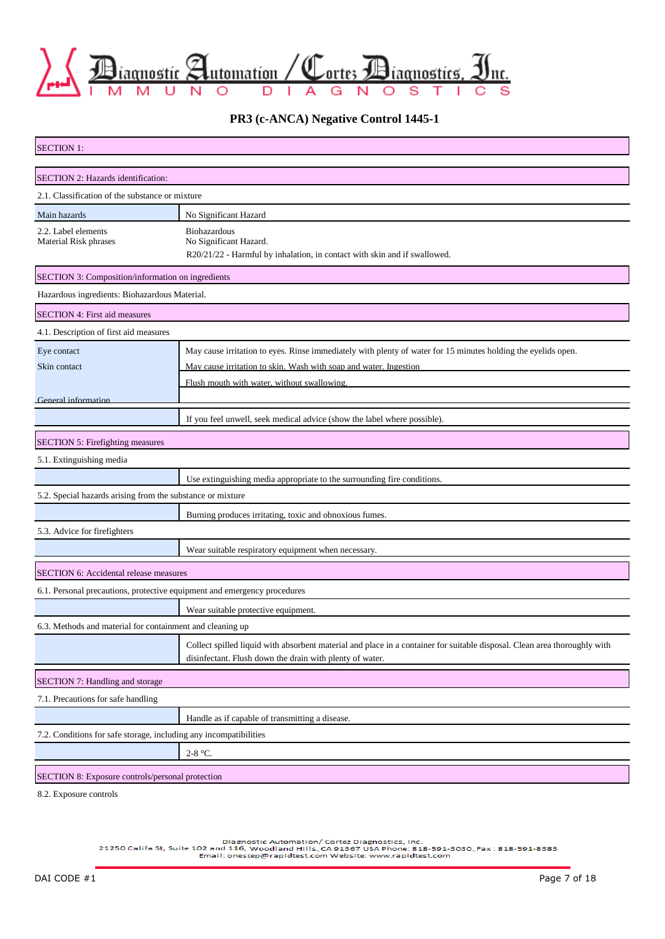

**PR3 (c-ANCA) Negative Control 1445-1**

| <b>SECTION 1:</b>                                                        |                                                                                                                           |
|--------------------------------------------------------------------------|---------------------------------------------------------------------------------------------------------------------------|
|                                                                          |                                                                                                                           |
| SECTION 2: Hazards identification:                                       |                                                                                                                           |
| 2.1. Classification of the substance or mixture                          |                                                                                                                           |
| Main hazards                                                             | No Significant Hazard                                                                                                     |
| 2.2. Label elements<br>Material Risk phrases                             | Biohazardous<br>No Significant Hazard.                                                                                    |
|                                                                          | R20/21/22 - Harmful by inhalation, in contact with skin and if swallowed.                                                 |
| SECTION 3: Composition/information on ingredients                        |                                                                                                                           |
| Hazardous ingredients: Biohazardous Material.                            |                                                                                                                           |
| SECTION 4: First aid measures                                            |                                                                                                                           |
| 4.1. Description of first aid measures                                   |                                                                                                                           |
| Eye contact                                                              | May cause irritation to eyes. Rinse immediately with plenty of water for 15 minutes holding the eyelids open.             |
| Skin contact                                                             | May cause irritation to skin. Wash with soap and water. Ingestion                                                         |
|                                                                          | Flush mouth with water, without swallowing.                                                                               |
| <b>General information</b>                                               |                                                                                                                           |
|                                                                          | If you feel unwell, seek medical advice (show the label where possible).                                                  |
| SECTION 5: Firefighting measures                                         |                                                                                                                           |
| 5.1. Extinguishing media                                                 |                                                                                                                           |
|                                                                          | Use extinguishing media appropriate to the surrounding fire conditions.                                                   |
| 5.2. Special hazards arising from the substance or mixture               |                                                                                                                           |
|                                                                          | Burning produces irritating, toxic and obnoxious fumes.                                                                   |
| 5.3. Advice for firefighters                                             |                                                                                                                           |
|                                                                          | Wear suitable respiratory equipment when necessary.                                                                       |
| <b>SECTION 6: Accidental release measures</b>                            |                                                                                                                           |
| 6.1. Personal precautions, protective equipment and emergency procedures |                                                                                                                           |
|                                                                          | Wear suitable protective equipment.                                                                                       |
| 6.3. Methods and material for containment and cleaning up                |                                                                                                                           |
|                                                                          | Collect spilled liquid with absorbent material and place in a container for suitable disposal. Clean area thoroughly with |
|                                                                          | disinfectant. Flush down the drain with plenty of water.                                                                  |
| SECTION 7: Handling and storage                                          |                                                                                                                           |
| 7.1. Precautions for safe handling                                       |                                                                                                                           |
|                                                                          | Handle as if capable of transmitting a disease.                                                                           |
| 7.2. Conditions for safe storage, including any incompatibilities        |                                                                                                                           |
|                                                                          | 2-8 °C.                                                                                                                   |
| SECTION 8: Exposure controls/personal protection                         |                                                                                                                           |
| 8.2. Exposure controls                                                   |                                                                                                                           |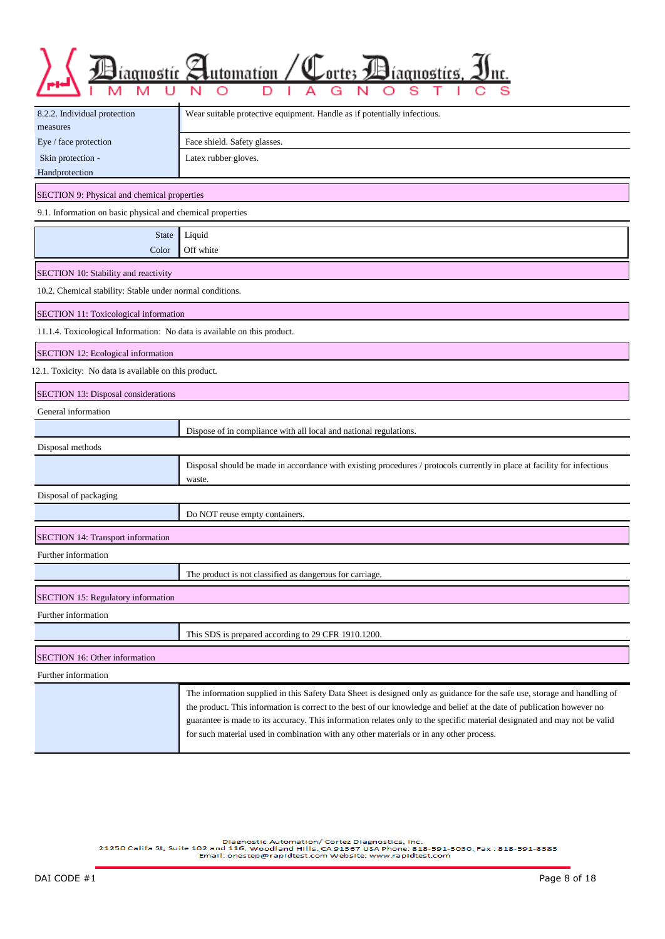| Biagnostic Automation / Cortes Biagnostics, Inc. |  |  |  |  |  |  |  |  |  |
|--------------------------------------------------|--|--|--|--|--|--|--|--|--|
|                                                  |  |  |  |  |  |  |  |  |  |

| 8.2.2. Individual protection<br>measures                                 | Wear suitable protective equipment. Handle as if potentially infectious.                                                                                                                                                                                                                                                                                                                                                                                                    |  |  |  |  |  |  |
|--------------------------------------------------------------------------|-----------------------------------------------------------------------------------------------------------------------------------------------------------------------------------------------------------------------------------------------------------------------------------------------------------------------------------------------------------------------------------------------------------------------------------------------------------------------------|--|--|--|--|--|--|
| Eye / face protection                                                    | Face shield. Safety glasses.                                                                                                                                                                                                                                                                                                                                                                                                                                                |  |  |  |  |  |  |
| Skin protection -                                                        | Latex rubber gloves.                                                                                                                                                                                                                                                                                                                                                                                                                                                        |  |  |  |  |  |  |
| Handprotection                                                           |                                                                                                                                                                                                                                                                                                                                                                                                                                                                             |  |  |  |  |  |  |
| SECTION 9: Physical and chemical properties                              |                                                                                                                                                                                                                                                                                                                                                                                                                                                                             |  |  |  |  |  |  |
| 9.1. Information on basic physical and chemical properties               |                                                                                                                                                                                                                                                                                                                                                                                                                                                                             |  |  |  |  |  |  |
| <b>State</b>                                                             | Liquid                                                                                                                                                                                                                                                                                                                                                                                                                                                                      |  |  |  |  |  |  |
| Color                                                                    | Off white                                                                                                                                                                                                                                                                                                                                                                                                                                                                   |  |  |  |  |  |  |
| SECTION 10: Stability and reactivity                                     |                                                                                                                                                                                                                                                                                                                                                                                                                                                                             |  |  |  |  |  |  |
| 10.2. Chemical stability: Stable under normal conditions.                |                                                                                                                                                                                                                                                                                                                                                                                                                                                                             |  |  |  |  |  |  |
| SECTION 11: Toxicological information                                    |                                                                                                                                                                                                                                                                                                                                                                                                                                                                             |  |  |  |  |  |  |
| 11.1.4. Toxicological Information: No data is available on this product. |                                                                                                                                                                                                                                                                                                                                                                                                                                                                             |  |  |  |  |  |  |
| SECTION 12: Ecological information                                       |                                                                                                                                                                                                                                                                                                                                                                                                                                                                             |  |  |  |  |  |  |
| 12.1. Toxicity: No data is available on this product.                    |                                                                                                                                                                                                                                                                                                                                                                                                                                                                             |  |  |  |  |  |  |
| <b>SECTION 13: Disposal considerations</b>                               |                                                                                                                                                                                                                                                                                                                                                                                                                                                                             |  |  |  |  |  |  |
| General information                                                      |                                                                                                                                                                                                                                                                                                                                                                                                                                                                             |  |  |  |  |  |  |
|                                                                          | Dispose of in compliance with all local and national regulations.                                                                                                                                                                                                                                                                                                                                                                                                           |  |  |  |  |  |  |
| Disposal methods                                                         |                                                                                                                                                                                                                                                                                                                                                                                                                                                                             |  |  |  |  |  |  |
|                                                                          | Disposal should be made in accordance with existing procedures / protocols currently in place at facility for infectious<br>waste.                                                                                                                                                                                                                                                                                                                                          |  |  |  |  |  |  |
| Disposal of packaging                                                    |                                                                                                                                                                                                                                                                                                                                                                                                                                                                             |  |  |  |  |  |  |
|                                                                          | Do NOT reuse empty containers.                                                                                                                                                                                                                                                                                                                                                                                                                                              |  |  |  |  |  |  |
| <b>SECTION 14: Transport information</b>                                 |                                                                                                                                                                                                                                                                                                                                                                                                                                                                             |  |  |  |  |  |  |
| Further information                                                      |                                                                                                                                                                                                                                                                                                                                                                                                                                                                             |  |  |  |  |  |  |
|                                                                          | The product is not classified as dangerous for carriage.                                                                                                                                                                                                                                                                                                                                                                                                                    |  |  |  |  |  |  |
| SECTION 15: Regulatory information                                       |                                                                                                                                                                                                                                                                                                                                                                                                                                                                             |  |  |  |  |  |  |
| Further information                                                      |                                                                                                                                                                                                                                                                                                                                                                                                                                                                             |  |  |  |  |  |  |
|                                                                          | This SDS is prepared according to 29 CFR 1910.1200.                                                                                                                                                                                                                                                                                                                                                                                                                         |  |  |  |  |  |  |
| SECTION 16: Other information                                            |                                                                                                                                                                                                                                                                                                                                                                                                                                                                             |  |  |  |  |  |  |
| Further information                                                      |                                                                                                                                                                                                                                                                                                                                                                                                                                                                             |  |  |  |  |  |  |
|                                                                          | The information supplied in this Safety Data Sheet is designed only as guidance for the safe use, storage and handling of<br>the product. This information is correct to the best of our knowledge and belief at the date of publication however no<br>guarantee is made to its accuracy. This information relates only to the specific material designated and may not be valid<br>for such material used in combination with any other materials or in any other process. |  |  |  |  |  |  |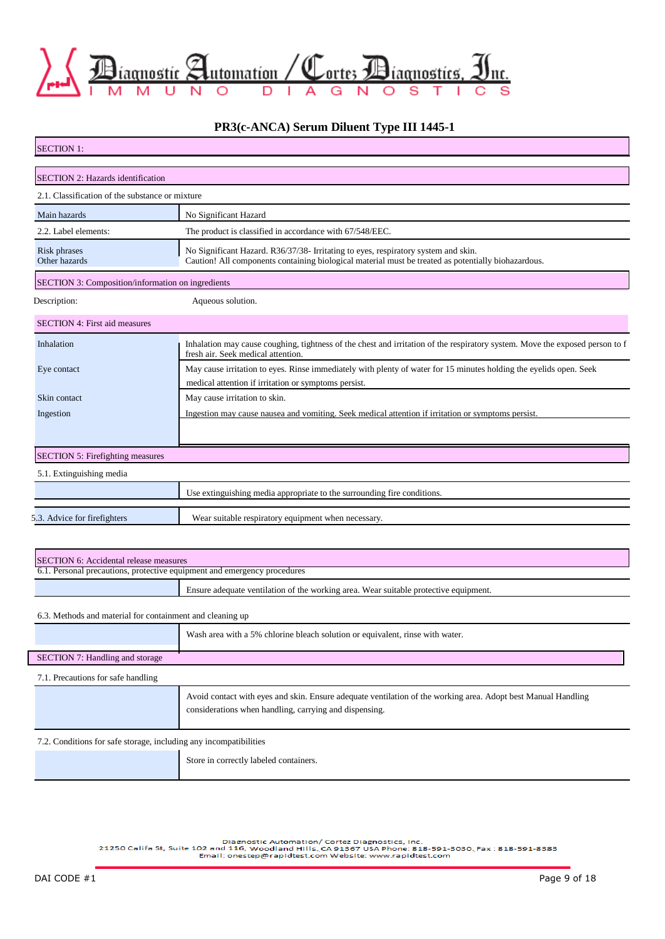

### **PR3(c-ANCA) Serum Diluent Type III 1445-1**

| <b>SECTION 1:</b>                                                        |                                                                                                                                                                                           |
|--------------------------------------------------------------------------|-------------------------------------------------------------------------------------------------------------------------------------------------------------------------------------------|
| SECTION 2: Hazards identification                                        |                                                                                                                                                                                           |
| 2.1. Classification of the substance or mixture                          |                                                                                                                                                                                           |
| Main hazards                                                             | No Significant Hazard                                                                                                                                                                     |
| 2.2. Label elements:                                                     | The product is classified in accordance with 67/548/EEC.                                                                                                                                  |
| Risk phrases<br>Other hazards                                            | No Significant Hazard. R36/37/38- Irritating to eyes, respiratory system and skin.<br>Caution! All components containing biological material must be treated as potentially biohazardous. |
| SECTION 3: Composition/information on ingredients                        |                                                                                                                                                                                           |
| Description:                                                             | Aqueous solution.                                                                                                                                                                         |
| <b>SECTION 4: First aid measures</b>                                     |                                                                                                                                                                                           |
| Inhalation                                                               | Inhalation may cause coughing, tightness of the chest and irritation of the respiratory system. Move the exposed person to f<br>fresh air. Seek medical attention.                        |
| Eye contact                                                              | May cause irritation to eyes. Rinse immediately with plenty of water for 15 minutes holding the eyelids open. Seek<br>medical attention if irritation or symptoms persist.                |
| Skin contact                                                             | May cause irritation to skin.                                                                                                                                                             |
| Ingestion                                                                | Ingestion may cause nausea and vomiting. Seek medical attention if irritation or symptoms persist.                                                                                        |
|                                                                          |                                                                                                                                                                                           |
| <b>SECTION 5: Firefighting measures</b>                                  |                                                                                                                                                                                           |
| 5.1. Extinguishing media                                                 |                                                                                                                                                                                           |
|                                                                          | Use extinguishing media appropriate to the surrounding fire conditions.                                                                                                                   |
| 5.3. Advice for firefighters                                             | Wear suitable respiratory equipment when necessary.                                                                                                                                       |
|                                                                          |                                                                                                                                                                                           |
| <b>SECTION 6: Accidental release measures</b>                            |                                                                                                                                                                                           |
| 6.1. Personal precautions, protective equipment and emergency procedures |                                                                                                                                                                                           |
|                                                                          | Ensure adequate ventilation of the working area. Wear suitable protective equipment.                                                                                                      |

6.3. Methods and material for containment and cleaning up

|                                    | Wash area with a 5% chlorine bleach solution or equivalent, rinse with water.                                                                                           |  |
|------------------------------------|-------------------------------------------------------------------------------------------------------------------------------------------------------------------------|--|
| SECTION 7: Handling and storage    |                                                                                                                                                                         |  |
| 7.1. Precautions for safe handling |                                                                                                                                                                         |  |
|                                    | Avoid contact with eyes and skin. Ensure adequate ventilation of the working area. Adopt best Manual Handling<br>considerations when handling, carrying and dispensing. |  |

7.2. Conditions for safe storage, including any incompatibilities

Store in correctly labeled containers.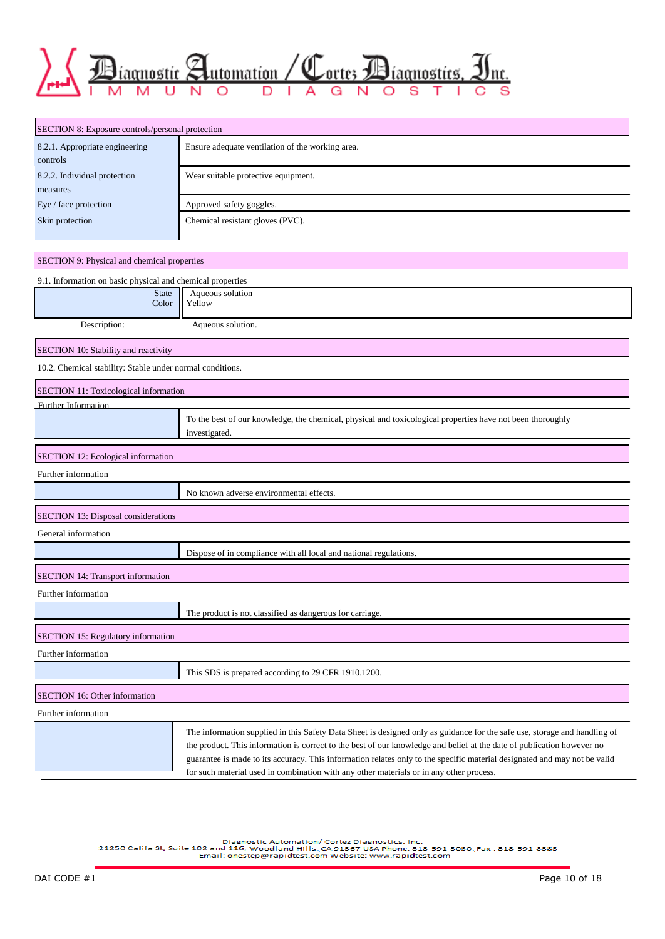

| SECTION 8: Exposure controls/personal protection |                                                  |  |  |  |
|--------------------------------------------------|--------------------------------------------------|--|--|--|
| 8.2.1. Appropriate engineering                   | Ensure adequate ventilation of the working area. |  |  |  |
| controls                                         |                                                  |  |  |  |
| 8.2.2. Individual protection                     | Wear suitable protective equipment.              |  |  |  |
| measures                                         |                                                  |  |  |  |
| Eye / face protection                            | Approved safety goggles.                         |  |  |  |
| Skin protection                                  | Chemical resistant gloves (PVC).                 |  |  |  |

#### SECTION 9: Physical and chemical properties

| 9.1. Information on basic physical and chemical properties |                                                                                                                                                                                                                                                                                                                                                                                                                                                                             |
|------------------------------------------------------------|-----------------------------------------------------------------------------------------------------------------------------------------------------------------------------------------------------------------------------------------------------------------------------------------------------------------------------------------------------------------------------------------------------------------------------------------------------------------------------|
| <b>State</b><br>Color                                      | Aqueous solution<br>Yellow                                                                                                                                                                                                                                                                                                                                                                                                                                                  |
| Description:                                               | Aqueous solution.                                                                                                                                                                                                                                                                                                                                                                                                                                                           |
| SECTION 10: Stability and reactivity                       |                                                                                                                                                                                                                                                                                                                                                                                                                                                                             |
| 10.2. Chemical stability: Stable under normal conditions.  |                                                                                                                                                                                                                                                                                                                                                                                                                                                                             |
| SECTION 11: Toxicological information                      |                                                                                                                                                                                                                                                                                                                                                                                                                                                                             |
| Further Information                                        |                                                                                                                                                                                                                                                                                                                                                                                                                                                                             |
|                                                            | To the best of our knowledge, the chemical, physical and toxicological properties have not been thoroughly<br>investigated.                                                                                                                                                                                                                                                                                                                                                 |
| <b>SECTION 12: Ecological information</b>                  |                                                                                                                                                                                                                                                                                                                                                                                                                                                                             |
| Further information                                        |                                                                                                                                                                                                                                                                                                                                                                                                                                                                             |
|                                                            | No known adverse environmental effects.                                                                                                                                                                                                                                                                                                                                                                                                                                     |
| <b>SECTION 13: Disposal considerations</b>                 |                                                                                                                                                                                                                                                                                                                                                                                                                                                                             |
| General information                                        |                                                                                                                                                                                                                                                                                                                                                                                                                                                                             |
|                                                            | Dispose of in compliance with all local and national regulations.                                                                                                                                                                                                                                                                                                                                                                                                           |
| <b>SECTION 14: Transport information</b>                   |                                                                                                                                                                                                                                                                                                                                                                                                                                                                             |
| Further information                                        |                                                                                                                                                                                                                                                                                                                                                                                                                                                                             |
|                                                            | The product is not classified as dangerous for carriage.                                                                                                                                                                                                                                                                                                                                                                                                                    |
| SECTION 15: Regulatory information                         |                                                                                                                                                                                                                                                                                                                                                                                                                                                                             |
| Further information                                        |                                                                                                                                                                                                                                                                                                                                                                                                                                                                             |
|                                                            | This SDS is prepared according to 29 CFR 1910.1200.                                                                                                                                                                                                                                                                                                                                                                                                                         |
| SECTION 16: Other information                              |                                                                                                                                                                                                                                                                                                                                                                                                                                                                             |
| Further information                                        |                                                                                                                                                                                                                                                                                                                                                                                                                                                                             |
|                                                            | The information supplied in this Safety Data Sheet is designed only as guidance for the safe use, storage and handling of<br>the product. This information is correct to the best of our knowledge and belief at the date of publication however no<br>guarantee is made to its accuracy. This information relates only to the specific material designated and may not be valid<br>for such material used in combination with any other materials or in any other process. |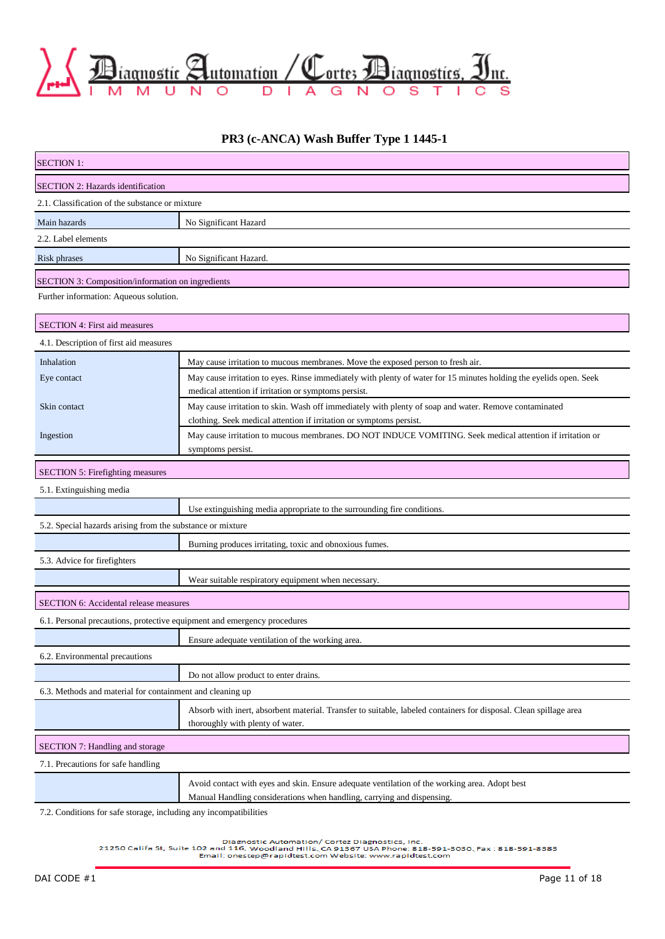

### **PR3 (c-ANCA) Wash Buffer Type 1 1445-1**

| <b>SECTION 1:</b>                                                        |                                                                                                                                                                            |  |  |  |  |  |
|--------------------------------------------------------------------------|----------------------------------------------------------------------------------------------------------------------------------------------------------------------------|--|--|--|--|--|
| SECTION 2: Hazards identification                                        |                                                                                                                                                                            |  |  |  |  |  |
| 2.1. Classification of the substance or mixture                          |                                                                                                                                                                            |  |  |  |  |  |
| Main hazards                                                             | No Significant Hazard                                                                                                                                                      |  |  |  |  |  |
| 2.2. Label elements                                                      |                                                                                                                                                                            |  |  |  |  |  |
| Risk phrases                                                             | No Significant Hazard.                                                                                                                                                     |  |  |  |  |  |
| SECTION 3: Composition/information on ingredients                        |                                                                                                                                                                            |  |  |  |  |  |
| Further information: Aqueous solution.                                   |                                                                                                                                                                            |  |  |  |  |  |
| SECTION 4: First aid measures                                            |                                                                                                                                                                            |  |  |  |  |  |
| 4.1. Description of first aid measures                                   |                                                                                                                                                                            |  |  |  |  |  |
| Inhalation                                                               | May cause irritation to mucous membranes. Move the exposed person to fresh air.                                                                                            |  |  |  |  |  |
| Eye contact                                                              | May cause irritation to eyes. Rinse immediately with plenty of water for 15 minutes holding the eyelids open. Seek<br>medical attention if irritation or symptoms persist. |  |  |  |  |  |
| Skin contact                                                             | May cause irritation to skin. Wash off immediately with plenty of soap and water. Remove contaminated                                                                      |  |  |  |  |  |
|                                                                          | clothing. Seek medical attention if irritation or symptoms persist.                                                                                                        |  |  |  |  |  |
| Ingestion                                                                | May cause irritation to mucous membranes. DO NOT INDUCE VOMITING. Seek medical attention if irritation or<br>symptoms persist.                                             |  |  |  |  |  |
| <b>SECTION 5: Firefighting measures</b>                                  |                                                                                                                                                                            |  |  |  |  |  |
| 5.1. Extinguishing media                                                 |                                                                                                                                                                            |  |  |  |  |  |
|                                                                          | Use extinguishing media appropriate to the surrounding fire conditions.                                                                                                    |  |  |  |  |  |
| 5.2. Special hazards arising from the substance or mixture               |                                                                                                                                                                            |  |  |  |  |  |
|                                                                          | Burning produces irritating, toxic and obnoxious fumes.                                                                                                                    |  |  |  |  |  |
| 5.3. Advice for firefighters                                             |                                                                                                                                                                            |  |  |  |  |  |
|                                                                          | Wear suitable respiratory equipment when necessary.                                                                                                                        |  |  |  |  |  |
| <b>SECTION 6: Accidental release measures</b>                            |                                                                                                                                                                            |  |  |  |  |  |
| 6.1. Personal precautions, protective equipment and emergency procedures |                                                                                                                                                                            |  |  |  |  |  |
|                                                                          | Ensure adequate ventilation of the working area.                                                                                                                           |  |  |  |  |  |
| 6.2. Environmental precautions                                           |                                                                                                                                                                            |  |  |  |  |  |
|                                                                          | Do not allow product to enter drains.                                                                                                                                      |  |  |  |  |  |
|                                                                          | 6.3. Methods and material for containment and cleaning up                                                                                                                  |  |  |  |  |  |
|                                                                          | Absorb with inert, absorbent material. Transfer to suitable, labeled containers for disposal. Clean spillage area<br>thoroughly with plenty of water.                      |  |  |  |  |  |
| SECTION 7: Handling and storage                                          |                                                                                                                                                                            |  |  |  |  |  |
| 7.1. Precautions for safe handling                                       |                                                                                                                                                                            |  |  |  |  |  |
|                                                                          | Avoid contact with eyes and skin. Ensure adequate ventilation of the working area. Adopt best<br>Manual Handling considerations when handling, carrying and dispensing.    |  |  |  |  |  |

7.2. Conditions for safe storage, including any incompatibilities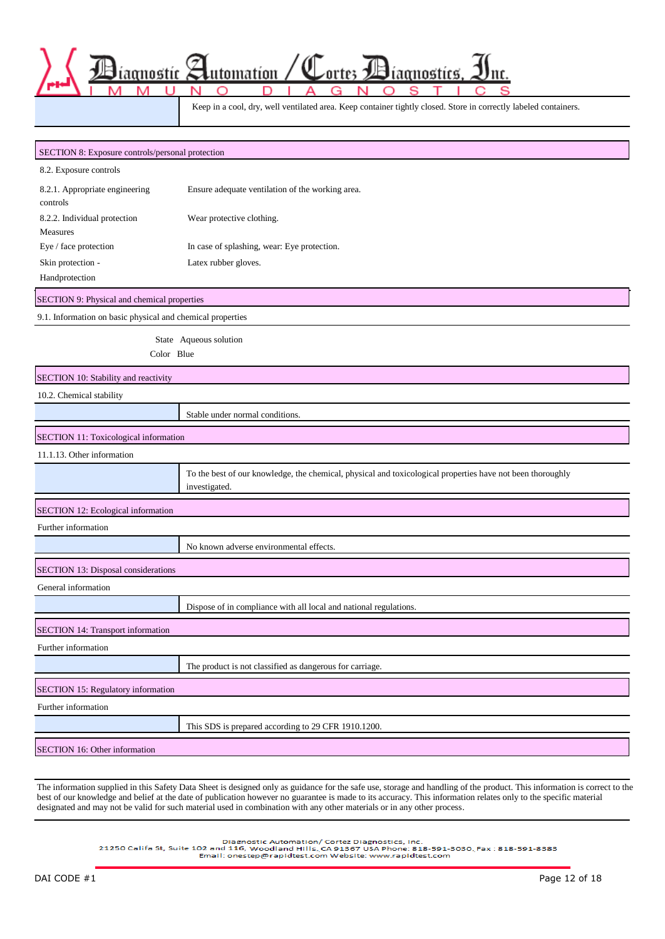Keep in a cool, dry, well ventilated area. Keep container tightly closed. Store in correctly labeled containers.

ortes

iagnostics

nc.

aanostíc

utomatíon

| SECTION 8: Exposure controls/personal protection           |                                                                                                                             |
|------------------------------------------------------------|-----------------------------------------------------------------------------------------------------------------------------|
| 8.2. Exposure controls                                     |                                                                                                                             |
| 8.2.1. Appropriate engineering<br>controls                 | Ensure adequate ventilation of the working area.                                                                            |
| 8.2.2. Individual protection                               | Wear protective clothing.                                                                                                   |
| Measures                                                   |                                                                                                                             |
| Eye / face protection                                      | In case of splashing, wear: Eye protection.                                                                                 |
| Skin protection -                                          | Latex rubber gloves.                                                                                                        |
| Handprotection                                             |                                                                                                                             |
| SECTION 9: Physical and chemical properties                |                                                                                                                             |
| 9.1. Information on basic physical and chemical properties |                                                                                                                             |
|                                                            | State Aqueous solution                                                                                                      |
| Color Blue                                                 |                                                                                                                             |
| SECTION 10: Stability and reactivity                       |                                                                                                                             |
| 10.2. Chemical stability                                   |                                                                                                                             |
|                                                            | Stable under normal conditions.                                                                                             |
| SECTION 11: Toxicological information                      |                                                                                                                             |
| 11.1.13. Other information                                 |                                                                                                                             |
|                                                            | To the best of our knowledge, the chemical, physical and toxicological properties have not been thoroughly<br>investigated. |
| SECTION 12: Ecological information                         |                                                                                                                             |
| Further information                                        |                                                                                                                             |
|                                                            | No known adverse environmental effects.                                                                                     |
| SECTION 13: Disposal considerations                        |                                                                                                                             |
| General information                                        |                                                                                                                             |
|                                                            | Dispose of in compliance with all local and national regulations.                                                           |
| <b>SECTION 14: Transport information</b>                   |                                                                                                                             |
| Further information                                        |                                                                                                                             |
|                                                            | The product is not classified as dangerous for carriage.                                                                    |
| SECTION 15: Regulatory information                         |                                                                                                                             |
| Further information                                        |                                                                                                                             |
|                                                            | This SDS is prepared according to 29 CFR 1910.1200.                                                                         |
| SECTION 16: Other information                              |                                                                                                                             |
|                                                            |                                                                                                                             |

The information supplied in this Safety Data Sheet is designed only as guidance for the safe use, storage and handling of the product. This information is correct to the best of our knowledge and belief at the date of publication however no guarantee is made to its accuracy. This information relates only to the specific material designated and may not be valid for such material used in combination with any other materials or in any other process.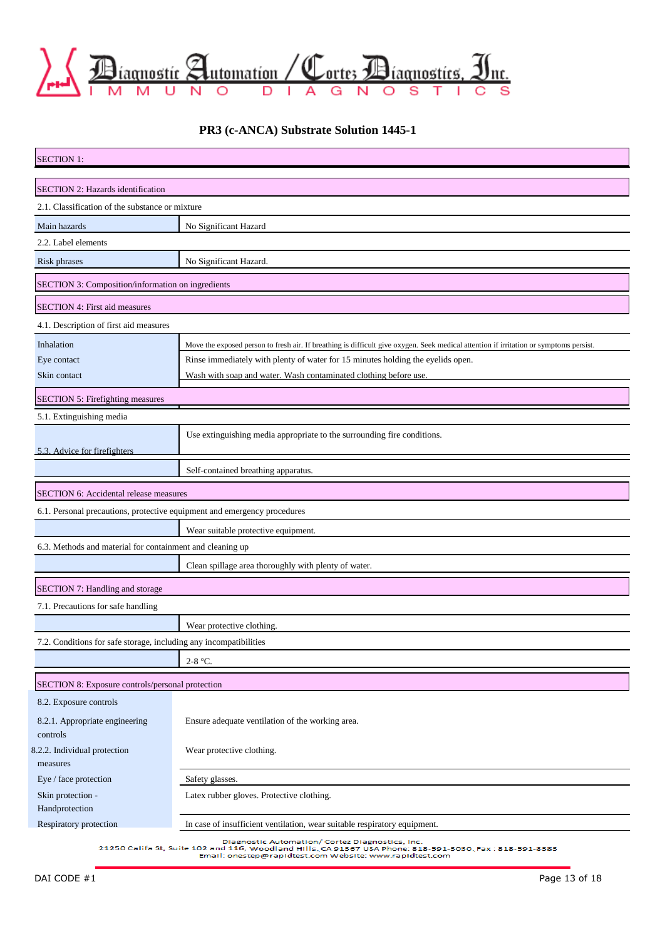

## **PR3 (c-ANCA) Substrate Solution 1445-1**

| <b>SECTION 1:</b>                                                        |                                                                                                                                        |  |  |  |  |
|--------------------------------------------------------------------------|----------------------------------------------------------------------------------------------------------------------------------------|--|--|--|--|
| SECTION 2: Hazards identification                                        |                                                                                                                                        |  |  |  |  |
| 2.1. Classification of the substance or mixture                          |                                                                                                                                        |  |  |  |  |
| Main hazards                                                             | No Significant Hazard                                                                                                                  |  |  |  |  |
| 2.2. Label elements                                                      |                                                                                                                                        |  |  |  |  |
| Risk phrases                                                             | No Significant Hazard.                                                                                                                 |  |  |  |  |
| SECTION 3: Composition/information on ingredients                        |                                                                                                                                        |  |  |  |  |
| SECTION 4: First aid measures                                            |                                                                                                                                        |  |  |  |  |
| 4.1. Description of first aid measures                                   |                                                                                                                                        |  |  |  |  |
| Inhalation                                                               | Move the exposed person to fresh air. If breathing is difficult give oxygen. Seek medical attention if irritation or symptoms persist. |  |  |  |  |
| Eye contact                                                              | Rinse immediately with plenty of water for 15 minutes holding the eyelids open.                                                        |  |  |  |  |
| Skin contact                                                             | Wash with soap and water. Wash contaminated clothing before use.                                                                       |  |  |  |  |
| <b>SECTION 5: Firefighting measures</b>                                  |                                                                                                                                        |  |  |  |  |
| 5.1. Extinguishing media                                                 |                                                                                                                                        |  |  |  |  |
| 5.3. Advice for firefighters                                             | Use extinguishing media appropriate to the surrounding fire conditions.                                                                |  |  |  |  |
|                                                                          | Self-contained breathing apparatus.                                                                                                    |  |  |  |  |
| SECTION 6: Accidental release measures                                   |                                                                                                                                        |  |  |  |  |
| 6.1. Personal precautions, protective equipment and emergency procedures |                                                                                                                                        |  |  |  |  |
|                                                                          | Wear suitable protective equipment.                                                                                                    |  |  |  |  |
| 6.3. Methods and material for containment and cleaning up                |                                                                                                                                        |  |  |  |  |
|                                                                          | Clean spillage area thoroughly with plenty of water.                                                                                   |  |  |  |  |
| SECTION 7: Handling and storage                                          |                                                                                                                                        |  |  |  |  |
| 7.1. Precautions for safe handling                                       |                                                                                                                                        |  |  |  |  |
|                                                                          | Wear protective clothing.                                                                                                              |  |  |  |  |
| 7.2. Conditions for safe storage, including any incompatibilities        |                                                                                                                                        |  |  |  |  |
|                                                                          | $2-8$ °C.                                                                                                                              |  |  |  |  |
| SECTION 8: Exposure controls/personal protection                         |                                                                                                                                        |  |  |  |  |
| 8.2. Exposure controls                                                   |                                                                                                                                        |  |  |  |  |
| 8.2.1. Appropriate engineering<br>controls                               | Ensure adequate ventilation of the working area.                                                                                       |  |  |  |  |
| 8.2.2. Individual protection<br>measures                                 | Wear protective clothing.                                                                                                              |  |  |  |  |
| Eye / face protection                                                    | Safety glasses.                                                                                                                        |  |  |  |  |
| Skin protection -<br>Handprotection                                      | Latex rubber gloves. Protective clothing.                                                                                              |  |  |  |  |
| Respiratory protection                                                   | In case of insufficient ventilation, wear suitable respiratory equipment.                                                              |  |  |  |  |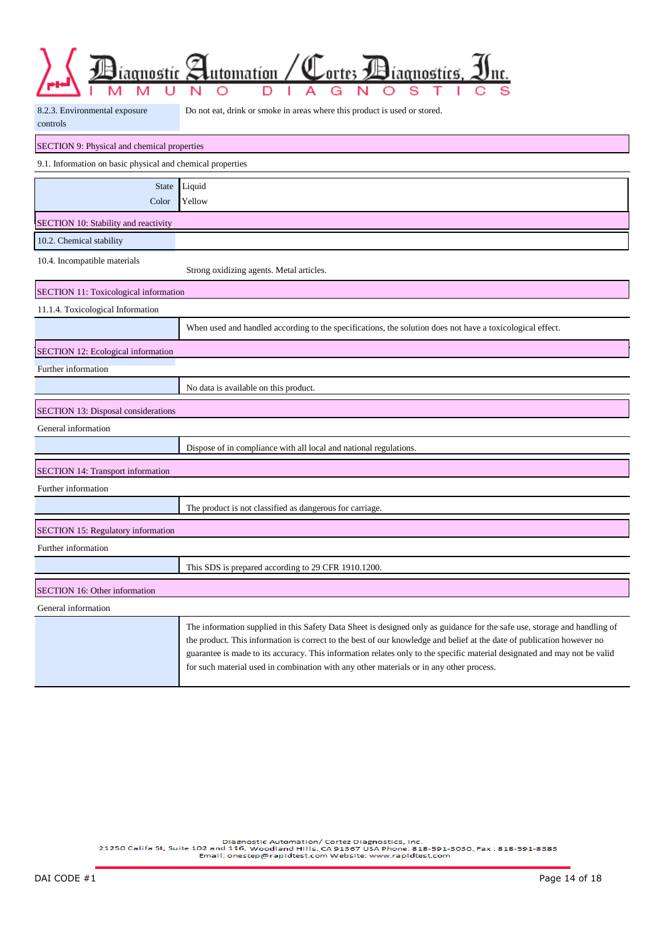|  |  |  | $\sum_{\text{pt}} \sum_{\text{in}} \underbrace{\text{Pl}(\text{anost})}_{\text{in}} \underbrace{\text{Pl}(\text{anost})}_{\text{in}} \underbrace{\text{Pl}(\text{anost})}_{\text{in}} \underbrace{\text{Pl}(\text{anost})}_{\text{in}} \underbrace{\text{Im}(\text{anost})}_{\text{in}}$ |  |  |  |  |  |
|--|--|--|------------------------------------------------------------------------------------------------------------------------------------------------------------------------------------------------------------------------------------------------------------------------------------------|--|--|--|--|--|
|  |  |  |                                                                                                                                                                                                                                                                                          |  |  |  |  |  |

| 8.2.3. Environmental exposure | Do not eat, drink or smoke in areas where this product is used or stored. |
|-------------------------------|---------------------------------------------------------------------------|
| controls                      |                                                                           |

| SECTION 9: Physical and chemical properties                |                                                                                                                                                                                                                                                                                                                                                                                                                                                                             |  |  |  |
|------------------------------------------------------------|-----------------------------------------------------------------------------------------------------------------------------------------------------------------------------------------------------------------------------------------------------------------------------------------------------------------------------------------------------------------------------------------------------------------------------------------------------------------------------|--|--|--|
| 9.1. Information on basic physical and chemical properties |                                                                                                                                                                                                                                                                                                                                                                                                                                                                             |  |  |  |
| <b>State</b>                                               | Liquid                                                                                                                                                                                                                                                                                                                                                                                                                                                                      |  |  |  |
| Color                                                      | Yellow                                                                                                                                                                                                                                                                                                                                                                                                                                                                      |  |  |  |
| SECTION 10: Stability and reactivity                       |                                                                                                                                                                                                                                                                                                                                                                                                                                                                             |  |  |  |
| 10.2. Chemical stability                                   |                                                                                                                                                                                                                                                                                                                                                                                                                                                                             |  |  |  |
| 10.4. Incompatible materials                               | Strong oxidizing agents. Metal articles.                                                                                                                                                                                                                                                                                                                                                                                                                                    |  |  |  |
| <b>SECTION 11: Toxicological information</b>               |                                                                                                                                                                                                                                                                                                                                                                                                                                                                             |  |  |  |
| 11.1.4. Toxicological Information                          |                                                                                                                                                                                                                                                                                                                                                                                                                                                                             |  |  |  |
|                                                            | When used and handled according to the specifications, the solution does not have a toxicological effect.                                                                                                                                                                                                                                                                                                                                                                   |  |  |  |
| SECTION 12: Ecological information                         |                                                                                                                                                                                                                                                                                                                                                                                                                                                                             |  |  |  |
| Further information                                        |                                                                                                                                                                                                                                                                                                                                                                                                                                                                             |  |  |  |
|                                                            | No data is available on this product.                                                                                                                                                                                                                                                                                                                                                                                                                                       |  |  |  |
| <b>SECTION 13: Disposal considerations</b>                 |                                                                                                                                                                                                                                                                                                                                                                                                                                                                             |  |  |  |
| General information                                        |                                                                                                                                                                                                                                                                                                                                                                                                                                                                             |  |  |  |
|                                                            | Dispose of in compliance with all local and national regulations.                                                                                                                                                                                                                                                                                                                                                                                                           |  |  |  |
| <b>SECTION 14: Transport information</b>                   |                                                                                                                                                                                                                                                                                                                                                                                                                                                                             |  |  |  |
| Further information                                        |                                                                                                                                                                                                                                                                                                                                                                                                                                                                             |  |  |  |
|                                                            | The product is not classified as dangerous for carriage.                                                                                                                                                                                                                                                                                                                                                                                                                    |  |  |  |
| <b>SECTION 15: Regulatory information</b>                  |                                                                                                                                                                                                                                                                                                                                                                                                                                                                             |  |  |  |
| Further information                                        |                                                                                                                                                                                                                                                                                                                                                                                                                                                                             |  |  |  |
|                                                            | This SDS is prepared according to 29 CFR 1910.1200.                                                                                                                                                                                                                                                                                                                                                                                                                         |  |  |  |
| <b>SECTION 16: Other information</b>                       |                                                                                                                                                                                                                                                                                                                                                                                                                                                                             |  |  |  |
| General information                                        |                                                                                                                                                                                                                                                                                                                                                                                                                                                                             |  |  |  |
|                                                            | The information supplied in this Safety Data Sheet is designed only as guidance for the safe use, storage and handling of<br>the product. This information is correct to the best of our knowledge and belief at the date of publication however no<br>guarantee is made to its accuracy. This information relates only to the specific material designated and may not be valid<br>for such material used in combination with any other materials or in any other process. |  |  |  |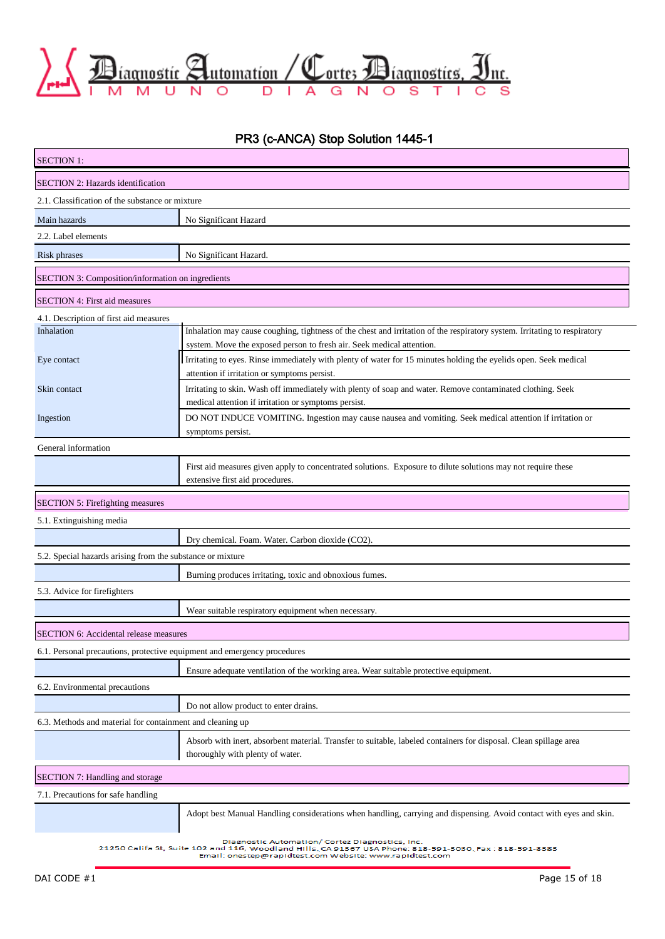

# PR3 (c-ANCA) Stop Solution 1445-1

| <b>SECTION 1:</b>                                                        |                                                                                                                                                                                                                        |  |  |  |
|--------------------------------------------------------------------------|------------------------------------------------------------------------------------------------------------------------------------------------------------------------------------------------------------------------|--|--|--|
| SECTION 2: Hazards identification                                        |                                                                                                                                                                                                                        |  |  |  |
| 2.1. Classification of the substance or mixture                          |                                                                                                                                                                                                                        |  |  |  |
| Main hazards                                                             | No Significant Hazard                                                                                                                                                                                                  |  |  |  |
| 2.2. Label elements                                                      |                                                                                                                                                                                                                        |  |  |  |
| <b>Risk phrases</b>                                                      | No Significant Hazard.                                                                                                                                                                                                 |  |  |  |
| SECTION 3: Composition/information on ingredients                        |                                                                                                                                                                                                                        |  |  |  |
| <b>SECTION 4: First aid measures</b>                                     |                                                                                                                                                                                                                        |  |  |  |
| 4.1. Description of first aid measures                                   |                                                                                                                                                                                                                        |  |  |  |
| Inhalation                                                               | Inhalation may cause coughing, tightness of the chest and irritation of the respiratory system. Irritating to respiratory<br>system. Move the exposed person to fresh air. Seek medical attention.                     |  |  |  |
| Eye contact                                                              | Irritating to eyes. Rinse immediately with plenty of water for 15 minutes holding the eyelids open. Seek medical<br>attention if irritation or symptoms persist.                                                       |  |  |  |
| Skin contact                                                             | Irritating to skin. Wash off immediately with plenty of soap and water. Remove contaminated clothing. Seek<br>medical attention if irritation or symptoms persist.                                                     |  |  |  |
| Ingestion                                                                | DO NOT INDUCE VOMITING. Ingestion may cause nausea and vomiting. Seek medical attention if irritation or<br>symptoms persist.                                                                                          |  |  |  |
| General information                                                      |                                                                                                                                                                                                                        |  |  |  |
|                                                                          | First aid measures given apply to concentrated solutions. Exposure to dilute solutions may not require these<br>extensive first aid procedures.                                                                        |  |  |  |
| SECTION 5: Firefighting measures                                         |                                                                                                                                                                                                                        |  |  |  |
| 5.1. Extinguishing media                                                 |                                                                                                                                                                                                                        |  |  |  |
|                                                                          | Dry chemical. Foam. Water. Carbon dioxide (CO2).                                                                                                                                                                       |  |  |  |
| 5.2. Special hazards arising from the substance or mixture               |                                                                                                                                                                                                                        |  |  |  |
|                                                                          | Burning produces irritating, toxic and obnoxious fumes.                                                                                                                                                                |  |  |  |
| 5.3. Advice for firefighters                                             |                                                                                                                                                                                                                        |  |  |  |
|                                                                          | Wear suitable respiratory equipment when necessary.                                                                                                                                                                    |  |  |  |
| SECTION 6: Accidental release measures                                   |                                                                                                                                                                                                                        |  |  |  |
| 6.1. Personal precautions, protective equipment and emergency procedures |                                                                                                                                                                                                                        |  |  |  |
|                                                                          | Ensure adequate ventilation of the working area. Wear suitable protective equipment.                                                                                                                                   |  |  |  |
| 6.2. Environmental precautions                                           |                                                                                                                                                                                                                        |  |  |  |
|                                                                          | Do not allow product to enter drains.                                                                                                                                                                                  |  |  |  |
| 6.3. Methods and material for containment and cleaning up                |                                                                                                                                                                                                                        |  |  |  |
|                                                                          | Absorb with inert, absorbent material. Transfer to suitable, labeled containers for disposal. Clean spillage area<br>thoroughly with plenty of water.                                                                  |  |  |  |
| SECTION 7: Handling and storage                                          |                                                                                                                                                                                                                        |  |  |  |
| 7.1. Precautions for safe handling                                       |                                                                                                                                                                                                                        |  |  |  |
|                                                                          | Adopt best Manual Handling considerations when handling, carrying and dispensing. Avoid contact with eyes and skin.                                                                                                    |  |  |  |
|                                                                          | Diagnostic Automation/ Cortez Diagnostics, Inc.<br>21250 Califa St, Suite 102 and 116, Woodland Hills, CA 91367 USA Phone: 818-591-3030, Fax : 818-591-8383<br>Email: onestep@rapidtest.com Website: www.rapidtest.com |  |  |  |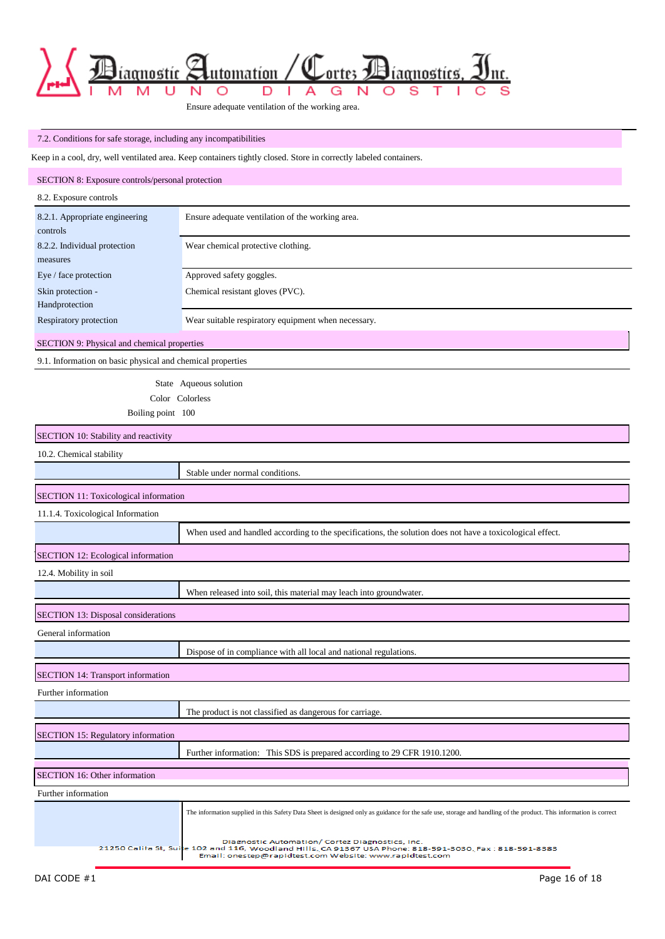

Ensure adequate ventilation of the working area.

### 7.2. Conditions for safe storage, including any incompatibilities

Keep in a cool, dry, well ventilated area. Keep containers tightly closed. Store in correctly labeled containers.

| SECTION 8: Exposure controls/personal protection           |                                                                                                                                                                    |
|------------------------------------------------------------|--------------------------------------------------------------------------------------------------------------------------------------------------------------------|
| 8.2. Exposure controls                                     |                                                                                                                                                                    |
| 8.2.1. Appropriate engineering<br>controls                 | Ensure adequate ventilation of the working area.                                                                                                                   |
| 8.2.2. Individual protection<br>measures                   | Wear chemical protective clothing.                                                                                                                                 |
| Eye / face protection                                      | Approved safety goggles.                                                                                                                                           |
| Skin protection -<br>Handprotection                        | Chemical resistant gloves (PVC).                                                                                                                                   |
| Respiratory protection                                     | Wear suitable respiratory equipment when necessary.                                                                                                                |
| SECTION 9: Physical and chemical properties                |                                                                                                                                                                    |
| 9.1. Information on basic physical and chemical properties |                                                                                                                                                                    |
|                                                            | State Aqueous solution                                                                                                                                             |
|                                                            | Color Colorless                                                                                                                                                    |
| Boiling point 100                                          |                                                                                                                                                                    |
| SECTION 10: Stability and reactivity                       |                                                                                                                                                                    |
| 10.2. Chemical stability                                   |                                                                                                                                                                    |
|                                                            | Stable under normal conditions.                                                                                                                                    |
| SECTION 11: Toxicological information                      |                                                                                                                                                                    |
| 11.1.4. Toxicological Information                          |                                                                                                                                                                    |
|                                                            | When used and handled according to the specifications, the solution does not have a toxicological effect.                                                          |
| SECTION 12: Ecological information                         |                                                                                                                                                                    |
| 12.4. Mobility in soil                                     |                                                                                                                                                                    |
|                                                            | When released into soil, this material may leach into groundwater.                                                                                                 |
| SECTION 13: Disposal considerations                        |                                                                                                                                                                    |
| General information                                        |                                                                                                                                                                    |
|                                                            | Dispose of in compliance with all local and national regulations.                                                                                                  |
| SECTION 14: Transport information                          |                                                                                                                                                                    |
| Further information                                        |                                                                                                                                                                    |
|                                                            | The product is not classified as dangerous for carriage.                                                                                                           |
| <b>SECTION 15: Regulatory information</b>                  |                                                                                                                                                                    |
|                                                            | Further information: This SDS is prepared according to 29 CFR 1910.1200.                                                                                           |
| SECTION 16: Other information                              |                                                                                                                                                                    |
| Further information                                        |                                                                                                                                                                    |
|                                                            | The information supplied in this Safety Data Sheet is designed only as guidance for the safe use, storage and handling of the product. This information is correct |
|                                                            | Diagnostic Automation/ Cortez Diagnostics, Inc.<br>21250 Califa St, Suite 102 and 116, Woodland Hills, CA 91367 USA Phone: 818-591-3030, Fax : 818-591-8383        |

 $\mathbf{I}$ Email: onestep@rapidtest.com Website: www.rapidtest.com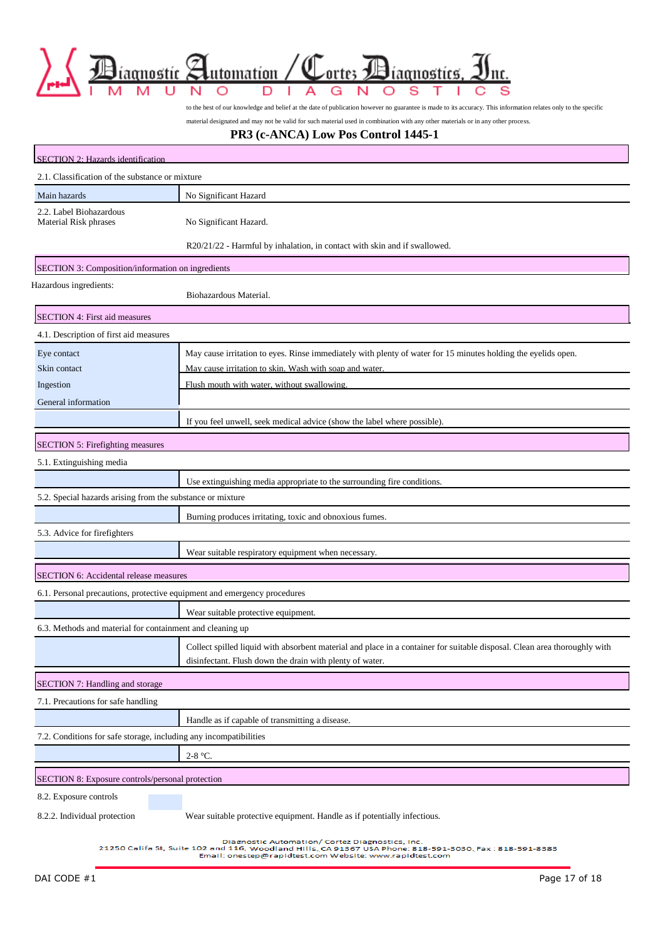

to the best of our knowledge and belief at the date of publication however no guarantee is made to its accuracy. This information relates only to the specific

material designated and may not be valid for such material used in combination with any other materials or in any other process.

#### **PR3 (c-ANCA) Low Pos Control 1445-1**

| SECTION 2: Hazards identification                                        |                                                                                                                                                                                                                        |  |  |  |
|--------------------------------------------------------------------------|------------------------------------------------------------------------------------------------------------------------------------------------------------------------------------------------------------------------|--|--|--|
| 2.1. Classification of the substance or mixture                          |                                                                                                                                                                                                                        |  |  |  |
| Main hazards                                                             | No Significant Hazard                                                                                                                                                                                                  |  |  |  |
| 2.2. Label Biohazardous<br><b>Material Risk phrases</b>                  | No Significant Hazard.                                                                                                                                                                                                 |  |  |  |
|                                                                          | R20/21/22 - Harmful by inhalation, in contact with skin and if swallowed.                                                                                                                                              |  |  |  |
| SECTION 3: Composition/information on ingredients                        |                                                                                                                                                                                                                        |  |  |  |
| Hazardous ingredients:                                                   | Biohazardous Material.                                                                                                                                                                                                 |  |  |  |
| SECTION 4: First aid measures                                            |                                                                                                                                                                                                                        |  |  |  |
| 4.1. Description of first aid measures                                   |                                                                                                                                                                                                                        |  |  |  |
| Eye contact                                                              | May cause irritation to eyes. Rinse immediately with plenty of water for 15 minutes holding the eyelids open.                                                                                                          |  |  |  |
| Skin contact                                                             | May cause irritation to skin. Wash with soap and water.                                                                                                                                                                |  |  |  |
| Ingestion                                                                | Flush mouth with water, without swallowing.                                                                                                                                                                            |  |  |  |
| General information                                                      |                                                                                                                                                                                                                        |  |  |  |
|                                                                          | If you feel unwell, seek medical advice (show the label where possible).                                                                                                                                               |  |  |  |
| SECTION 5: Firefighting measures                                         |                                                                                                                                                                                                                        |  |  |  |
| 5.1. Extinguishing media                                                 |                                                                                                                                                                                                                        |  |  |  |
|                                                                          | Use extinguishing media appropriate to the surrounding fire conditions.                                                                                                                                                |  |  |  |
| 5.2. Special hazards arising from the substance or mixture               |                                                                                                                                                                                                                        |  |  |  |
|                                                                          | Burning produces irritating, toxic and obnoxious fumes.                                                                                                                                                                |  |  |  |
| 5.3. Advice for firefighters                                             |                                                                                                                                                                                                                        |  |  |  |
|                                                                          | Wear suitable respiratory equipment when necessary.                                                                                                                                                                    |  |  |  |
| SECTION 6: Accidental release measures                                   |                                                                                                                                                                                                                        |  |  |  |
| 6.1. Personal precautions, protective equipment and emergency procedures |                                                                                                                                                                                                                        |  |  |  |
|                                                                          | Wear suitable protective equipment.                                                                                                                                                                                    |  |  |  |
| 6.3. Methods and material for containment and cleaning up                |                                                                                                                                                                                                                        |  |  |  |
|                                                                          | Collect spilled liquid with absorbent material and place in a container for suitable disposal. Clean area thoroughly with<br>disinfectant. Flush down the drain with plenty of water.                                  |  |  |  |
| SECTION 7: Handling and storage                                          |                                                                                                                                                                                                                        |  |  |  |
| 7.1. Precautions for safe handling                                       |                                                                                                                                                                                                                        |  |  |  |
|                                                                          | Handle as if capable of transmitting a disease.                                                                                                                                                                        |  |  |  |
| 7.2. Conditions for safe storage, including any incompatibilities        |                                                                                                                                                                                                                        |  |  |  |
|                                                                          | $2-8$ °C.                                                                                                                                                                                                              |  |  |  |
|                                                                          |                                                                                                                                                                                                                        |  |  |  |
| SECTION 8: Exposure controls/personal protection                         |                                                                                                                                                                                                                        |  |  |  |
| 8.2. Exposure controls                                                   |                                                                                                                                                                                                                        |  |  |  |
| 8.2.2. Individual protection                                             | Wear suitable protective equipment. Handle as if potentially infectious.                                                                                                                                               |  |  |  |
|                                                                          | Diagnostic Automation/ Cortez Diagnostics, Inc.<br>21250 Califa St, Suite 102 and 116, Woodland Hills, CA 91367 USA Phone: 818-591-3030, Fax : 818-591-8383<br>Email: onestep@rapidtest.com Website: www.rapidtest.com |  |  |  |